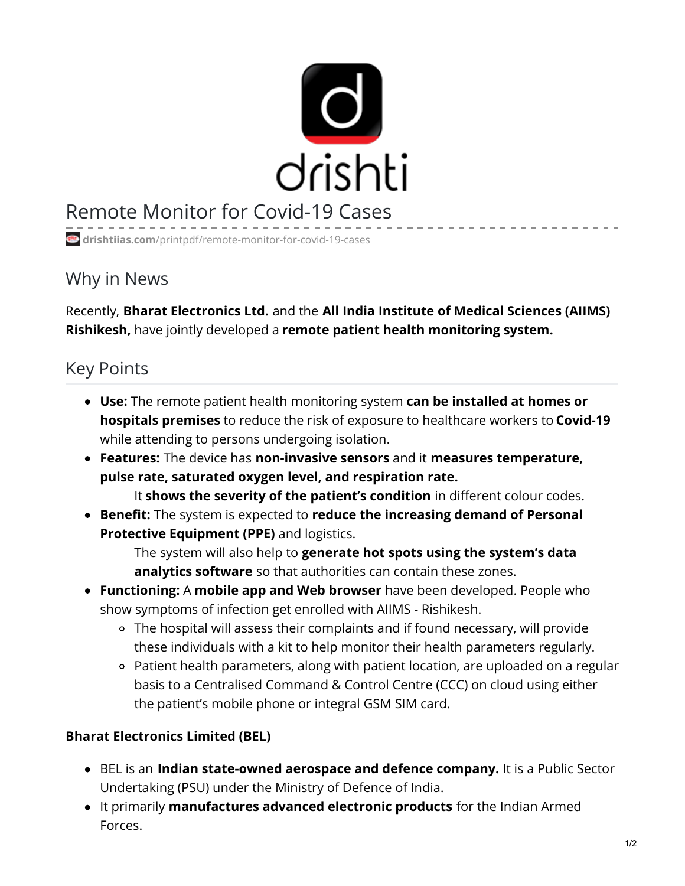

## Remote Monitor for Covid-19 Cases

**drishtiias.com**[/printpdf/remote-monitor-for-covid-19-cases](https://www.drishtiias.com/printpdf/remote-monitor-for-covid-19-cases)

## Why in News

Recently, **Bharat Electronics Ltd.** and the **All India Institute of Medical Sciences (AIIMS) Rishikesh,** have jointly developed a **remote patient health monitoring system.**

## Key Points

- **Use:** The remote patient health monitoring system **can be installed at homes or hospitals premises** to reduce the risk of exposure to healthcare workers to **[Covid-19](https://www.drishtiias.com/daily-updates/daily-news-analysis/coronaviruses)** while attending to persons undergoing isolation.
- **Features:** The device has **non-invasive sensors** and it **measures temperature, pulse rate, saturated oxygen level, and respiration rate.**

It **shows the severity of the patient's condition** in different colour codes.

**Benefit:** The system is expected to **reduce the increasing demand of Personal Protective Equipment (PPE)** and logistics.

The system will also help to **generate hot spots using the system's data analytics software** so that authorities can contain these zones.

- **Functioning:** A **mobile app and Web browser** have been developed. People who show symptoms of infection get enrolled with AIIMS - Rishikesh.
	- The hospital will assess their complaints and if found necessary, will provide these individuals with a kit to help monitor their health parameters regularly.
	- Patient health parameters, along with patient location, are uploaded on a regular basis to a Centralised Command & Control Centre (CCC) on cloud using either the patient's mobile phone or integral GSM SIM card.

## **Bharat Electronics Limited (BEL)**

- BEL is an **Indian state-owned aerospace and defence company.** It is a Public Sector Undertaking (PSU) under the Ministry of Defence of India.
- It primarily **manufactures advanced electronic products** for the Indian Armed Forces.